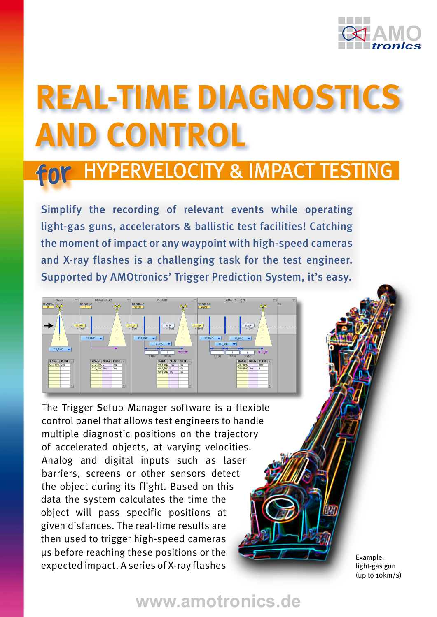

# **real-time diagnostics D CONTROL**

## for HYPERVELOCITY & IMPACT TESTING

**Simplify the recording of relevant events while operating light-gas guns, accelerators & ballistic test facilities! Catching the moment of impact or any waypoint with high-speed cameras and X-ray flashes is a challenging task for the test engineer. Supported by AMOtronics' Trigger Prediction System, it's easy.**



The **T**rigger **S**etup **M**anager software is a flexible control panel that allows test engineers to handle multiple diagnostic positions on the trajectory of accelerated objects, at varying velocities. Analog and digital inputs such as laser barriers, screens or other sensors detect the object during its flight. Based on this data the system calculates the time the object will pass specific positions at given distances. The real-time results are then used to trigger high-speed cameras µs before reaching these positions or the expected impact. A series of X-ray flashes

Example: light-gas gun (up to 10km/s)

## **www.amotronics.de**